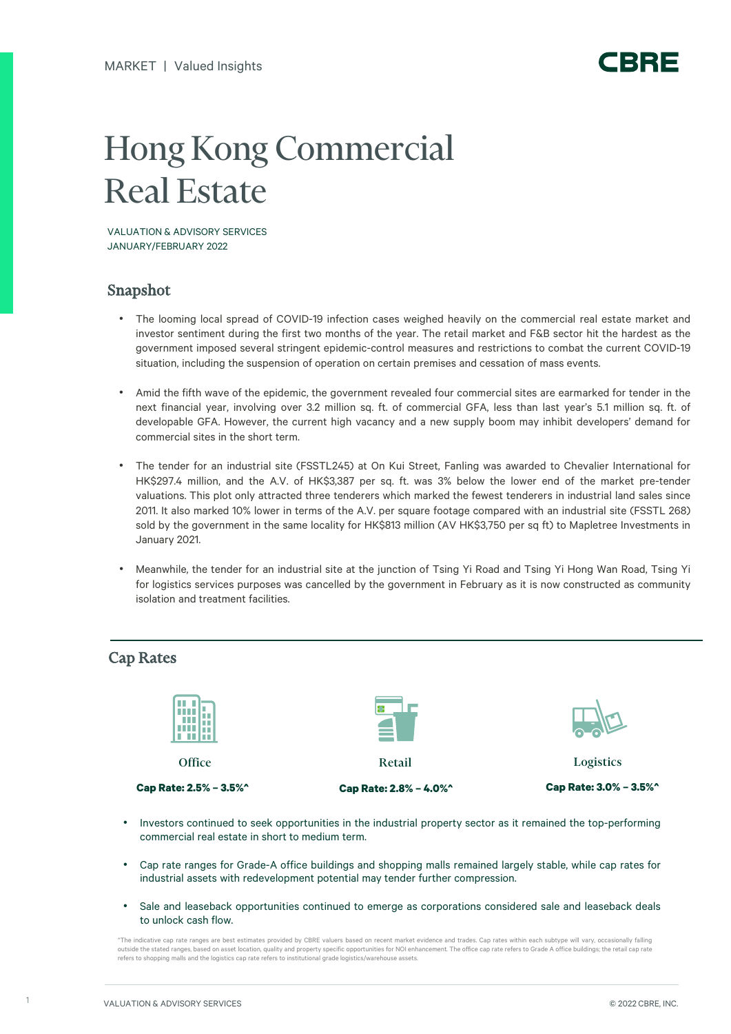## Hong Kong Commercial Real Estate

VALUATION & ADVISORY SERVICES JANUARY/FEBRUARY 2022

## Snapshot

- The looming local spread of COVID-19 infection cases weighed heavily on the commercial real estate market and investor sentiment during the first two months of the year. The retail market and F&B sector hit the hardest as the government imposed several stringent epidemic-control measures and restrictions to combat the current COVID-19 situation, including the suspension of operation on certain premises and cessation of mass events.
- Amid the fifth wave of the epidemic, the government revealed four commercial sites are earmarked for tender in the next financial year, involving over 3.2 million sq. ft. of commercial GFA, less than last year's 5.1 million sq. ft. of developable GFA. However, the current high vacancy and a new supply boom may inhibit developers' demand for commercial sites in the short term.
- The tender for an industrial site (FSSTL245) at On Kui Street, Fanling was awarded to Chevalier International for HK\$297.4 million, and the A.V. of HK\$3,387 per sq. ft. was 3% below the lower end of the market pre-tender valuations. This plot only attracted three tenderers which marked the fewest tenderers in industrial land sales since 2011. It also marked 10% lower in terms of the A.V. per square footage compared with an industrial site (FSSTL 268) sold by the government in the same locality for HK\$813 million (AV HK\$3,750 per sq ft) to Mapletree Investments in January 2021.
- Meanwhile, the tender for an industrial site at the junction of Tsing Yi Road and Tsing Yi Hong Wan Road, Tsing Yi for logistics services purposes was cancelled by the government in February as it is now constructed as community isolation and treatment facilities.



- Investors continued to seek opportunities in the industrial property sector as it remained the top-performing commercial real estate in short to medium term.
- Cap rate ranges for Grade-A office buildings and shopping malls remained largely stable, while cap rates for industrial assets with redevelopment potential may tender further compression.
- Sale and leaseback opportunities continued to emerge as corporations considered sale and leaseback deals to unlock cash flow.

^The indicative cap rate ranges are best estimates provided by CBRE valuers based on recent market evidence and trades. Cap rates within each subtype will vary, occasionally falling outside the stated ranges, based on asset location, quality and property specific opportunities for NOI enhancement. The office cap rate refers to Grade A office buildings; the retail cap rate refers to shopping malls and the logistics cap rate refers to institutional grade logistics/warehouse assets.